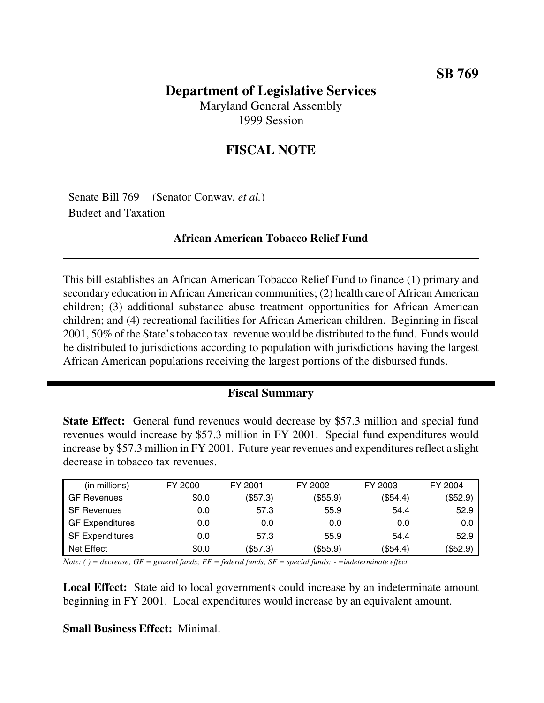# **Department of Legislative Services**

Maryland General Assembly 1999 Session

## **FISCAL NOTE**

Senate Bill 769 (Senator Conway, *et al.*) Budget and Taxation

### **African American Tobacco Relief Fund**

This bill establishes an African American Tobacco Relief Fund to finance (1) primary and secondary education in African American communities; (2) health care of African American children; (3) additional substance abuse treatment opportunities for African American children; and (4) recreational facilities for African American children. Beginning in fiscal 2001, 50% of the State'stobacco tax revenue would be distributed to the fund. Funds would be distributed to jurisdictions according to population with jurisdictions having the largest African American populations receiving the largest portions of the disbursed funds.

### **Fiscal Summary**

**State Effect:** General fund revenues would decrease by \$57.3 million and special fund revenues would increase by \$57.3 million in FY 2001. Special fund expenditures would increase by \$57.3 million in FY 2001. Future year revenues and expenditures reflect a slight decrease in tobacco tax revenues.

| (in millions)          | FY 2000 | FY 2001  | FY 2002  | FY 2003  | FY 2004  |
|------------------------|---------|----------|----------|----------|----------|
| GF Revenues            | \$0.0   | (\$57.3) | (\$55.9) | (\$54.4) | (\$52.9) |
| <b>SF Revenues</b>     | 0.0     | 57.3     | 55.9     | 54.4     | 52.9     |
| <b>GF Expenditures</b> | 0.0     | 0.0      | 0.0      | 0.0      | 0.0      |
| <b>SF Expenditures</b> | 0.0     | 57.3     | 55.9     | 54.4     | 52.9     |
| Net Effect             | \$0.0   | (\$57.3) | (\$55.9) | (\$54.4) | (\$52.9) |

Note: () = decrease; GF = general funds; FF = federal funds; SF = special funds; - = indeterminate effect

**Local Effect:** State aid to local governments could increase by an indeterminate amount beginning in FY 2001. Local expenditures would increase by an equivalent amount.

#### **Small Business Effect:** Minimal.